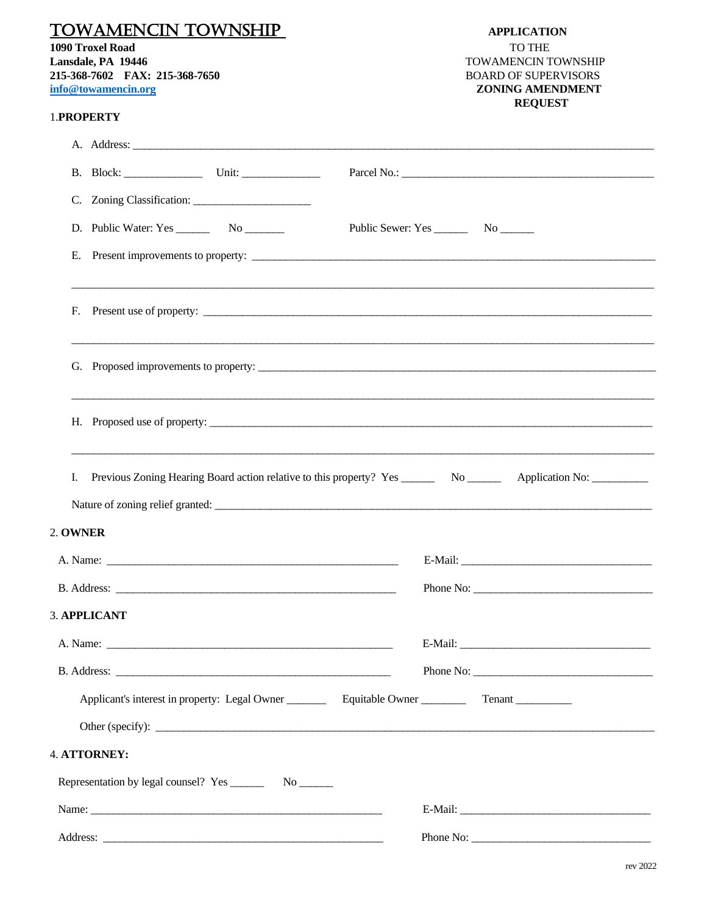| <b>TOWAMENCIN TOWNSHIP</b><br>1090 Troxel Road<br>Lansdale, PA 19446<br>215-368-7602 FAX: 215-368-7650<br>info@towamencin.org                                                                                                       | <b>APPLICATION</b><br>TO THE<br>TOWAMENCIN TOWNSHIP<br><b>BOARD OF SUPERVISORS</b><br><b>ZONING AMENDMENT</b><br><b>REQUEST</b> |
|-------------------------------------------------------------------------------------------------------------------------------------------------------------------------------------------------------------------------------------|---------------------------------------------------------------------------------------------------------------------------------|
| 1.PROPERTY                                                                                                                                                                                                                          |                                                                                                                                 |
|                                                                                                                                                                                                                                     |                                                                                                                                 |
|                                                                                                                                                                                                                                     |                                                                                                                                 |
|                                                                                                                                                                                                                                     |                                                                                                                                 |
|                                                                                                                                                                                                                                     |                                                                                                                                 |
|                                                                                                                                                                                                                                     |                                                                                                                                 |
|                                                                                                                                                                                                                                     |                                                                                                                                 |
|                                                                                                                                                                                                                                     |                                                                                                                                 |
|                                                                                                                                                                                                                                     |                                                                                                                                 |
| I.                                                                                                                                                                                                                                  |                                                                                                                                 |
| 2. OWNER                                                                                                                                                                                                                            |                                                                                                                                 |
| A. Name: <u>example</u> and the contract of the contract of the contract of the contract of the contract of the contract of the contract of the contract of the contract of the contract of the contract of the contract of the con |                                                                                                                                 |
|                                                                                                                                                                                                                                     | Phone No:                                                                                                                       |
| 3. APPLICANT                                                                                                                                                                                                                        |                                                                                                                                 |
|                                                                                                                                                                                                                                     |                                                                                                                                 |
|                                                                                                                                                                                                                                     |                                                                                                                                 |
| Applicant's interest in property: Legal Owner ___________ Equitable Owner _______                                                                                                                                                   | Tenant                                                                                                                          |
|                                                                                                                                                                                                                                     |                                                                                                                                 |
| 4. ATTORNEY:                                                                                                                                                                                                                        |                                                                                                                                 |
|                                                                                                                                                                                                                                     |                                                                                                                                 |
|                                                                                                                                                                                                                                     |                                                                                                                                 |
| Address:                                                                                                                                                                                                                            | Phone No:                                                                                                                       |